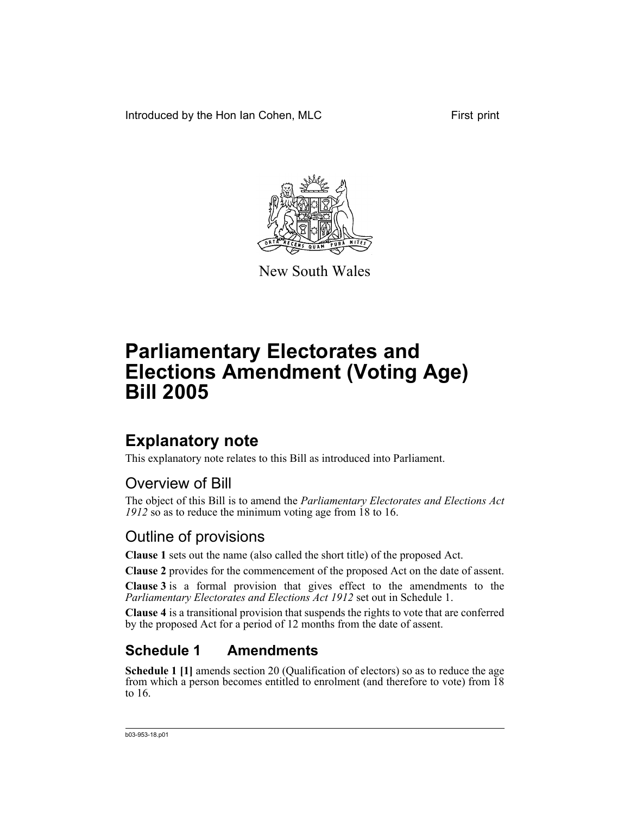Introduced by the Hon Ian Cohen, MLC First print



New South Wales

# **Parliamentary Electorates and Elections Amendment (Voting Age) Bill 2005**

## **Explanatory note**

This explanatory note relates to this Bill as introduced into Parliament.

### Overview of Bill

The object of this Bill is to amend the *Parliamentary Electorates and Elections Act 1912* so as to reduce the minimum voting age from 18 to 16.

### Outline of provisions

**Clause 1** sets out the name (also called the short title) of the proposed Act.

**Clause 2** provides for the commencement of the proposed Act on the date of assent.

**Clause 3** is a formal provision that gives effect to the amendments to the *Parliamentary Electorates and Elections Act 1912* set out in Schedule 1.

**Clause 4** is a transitional provision that suspends the rights to vote that are conferred by the proposed Act for a period of 12 months from the date of assent.

### **Schedule 1 Amendments**

**Schedule 1 [1]** amends section 20 (Qualification of electors) so as to reduce the age from which a person becomes entitled to enrolment (and therefore to vote) from 18 to 16.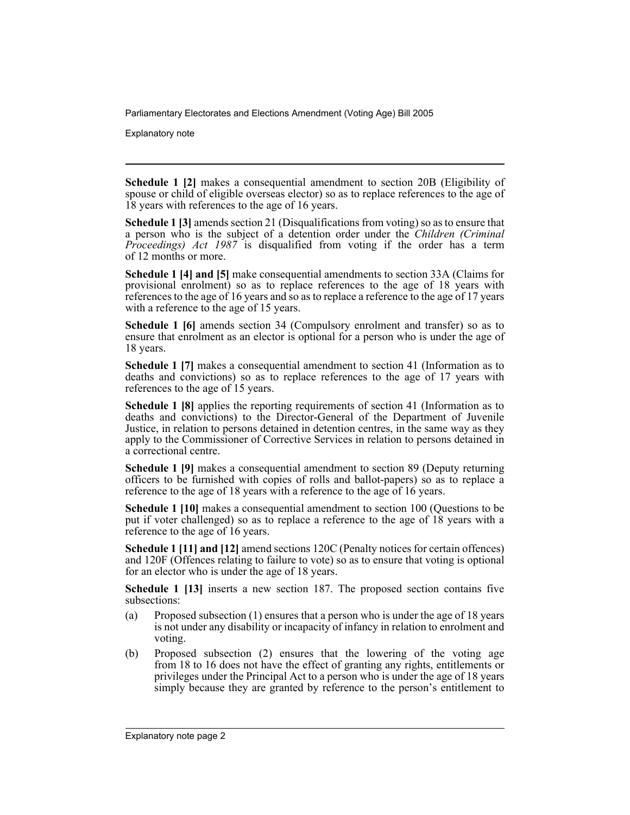Explanatory note

**Schedule 1 [2]** makes a consequential amendment to section 20B (Eligibility of spouse or child of eligible overseas elector) so as to replace references to the age of 18 years with references to the age of 16 years.

**Schedule 1 [3]** amends section 21 (Disqualifications from voting) so as to ensure that a person who is the subject of a detention order under the *Children (Criminal Proceedings) Act 1987* is disqualified from voting if the order has a term of 12 months or more.

**Schedule 1 [4] and [5]** make consequential amendments to section 33A (Claims for provisional enrolment) so as to replace references to the age of 18 years with references to the age of 16 years and so as to replace a reference to the age of 17 years with a reference to the age of 15 years.

**Schedule 1 [6]** amends section 34 (Compulsory enrolment and transfer) so as to ensure that enrolment as an elector is optional for a person who is under the age of 18 years.

**Schedule 1 [7]** makes a consequential amendment to section 41 (Information as to deaths and convictions) so as to replace references to the age of 17 years with references to the age of 15 years.

**Schedule 1 [8]** applies the reporting requirements of section 41 (Information as to deaths and convictions) to the Director-General of the Department of Juvenile Justice, in relation to persons detained in detention centres, in the same way as they apply to the Commissioner of Corrective Services in relation to persons detained in a correctional centre.

**Schedule 1 [9]** makes a consequential amendment to section 89 (Deputy returning officers to be furnished with copies of rolls and ballot-papers) so as to replace a reference to the age of 18 years with a reference to the age of 16 years.

**Schedule 1 [10]** makes a consequential amendment to section 100 (Questions to be put if voter challenged) so as to replace a reference to the age of 18 years with a reference to the age of 16 years.

**Schedule 1 [11] and [12]** amend sections 120C (Penalty notices for certain offences) and 120F (Offences relating to failure to vote) so as to ensure that voting is optional for an elector who is under the age of 18 years.

**Schedule 1 [13]** inserts a new section 187. The proposed section contains five subsections:

- (a) Proposed subsection (1) ensures that a person who is under the age of 18 years is not under any disability or incapacity of infancy in relation to enrolment and voting.
- (b) Proposed subsection (2) ensures that the lowering of the voting age from 18 to 16 does not have the effect of granting any rights, entitlements or privileges under the Principal Act to a person who is under the age of 18 years simply because they are granted by reference to the person's entitlement to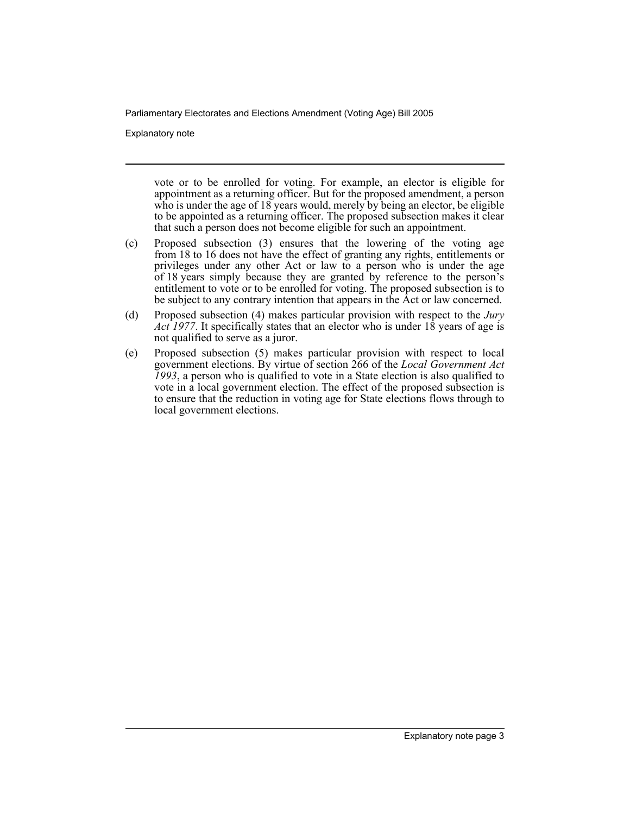Explanatory note

vote or to be enrolled for voting. For example, an elector is eligible for appointment as a returning officer. But for the proposed amendment, a person who is under the age of 18 years would, merely by being an elector, be eligible to be appointed as a returning officer. The proposed subsection makes it clear that such a person does not become eligible for such an appointment.

- (c) Proposed subsection (3) ensures that the lowering of the voting age from 18 to 16 does not have the effect of granting any rights, entitlements or privileges under any other Act or law to a person who is under the age of 18 years simply because they are granted by reference to the person's entitlement to vote or to be enrolled for voting. The proposed subsection is to be subject to any contrary intention that appears in the Act or law concerned.
- (d) Proposed subsection (4) makes particular provision with respect to the *Jury Act 1977*. It specifically states that an elector who is under 18 years of age is not qualified to serve as a juror.
- (e) Proposed subsection (5) makes particular provision with respect to local government elections. By virtue of section 266 of the *Local Government Act 1993*, a person who is qualified to vote in a State election is also qualified to vote in a local government election. The effect of the proposed subsection is to ensure that the reduction in voting age for State elections flows through to local government elections.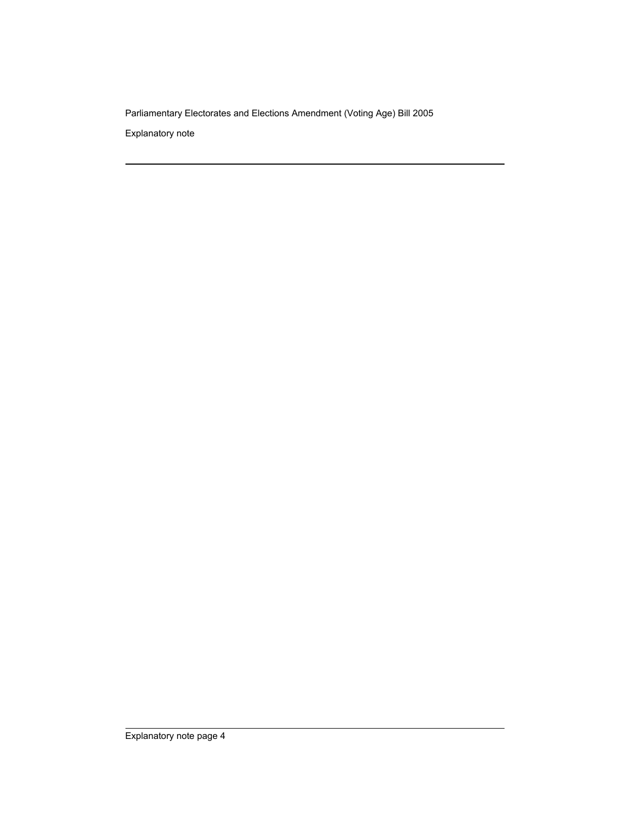Parliamentary Electorates and Elections Amendment (Voting Age) Bill 2005 Explanatory note

Explanatory note page 4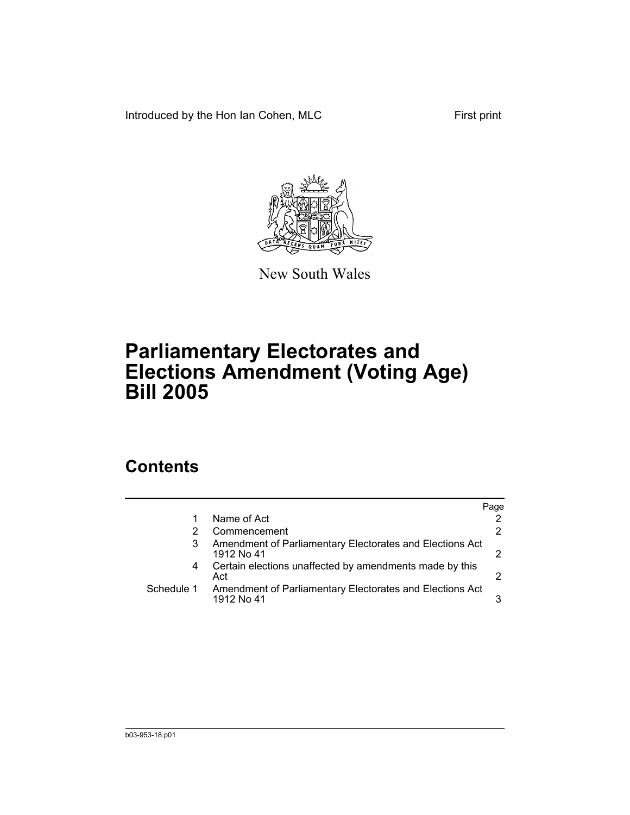Introduced by the Hon Ian Cohen, MLC First print



New South Wales

## **Parliamentary Electorates and Elections Amendment (Voting Age) Bill 2005**

## **Contents**

|                                                                                      | Page |
|--------------------------------------------------------------------------------------|------|
| Name of Act                                                                          |      |
| Commencement                                                                         |      |
| Amendment of Parliamentary Electorates and Elections Act<br>1912 No 41               |      |
| Certain elections unaffected by amendments made by this<br>4<br>Act                  |      |
| Schedule 1<br>Amendment of Parliamentary Electorates and Elections Act<br>1912 No 41 |      |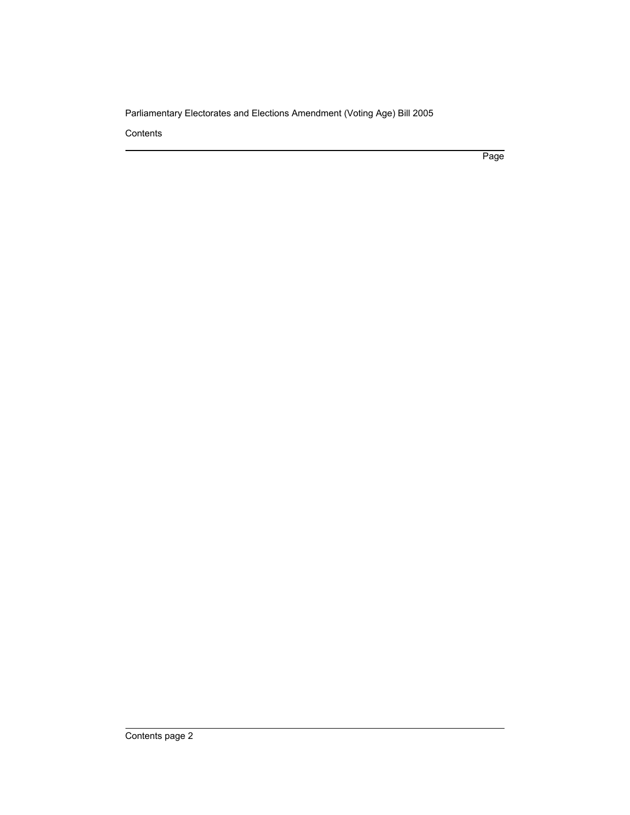**Contents** 

Page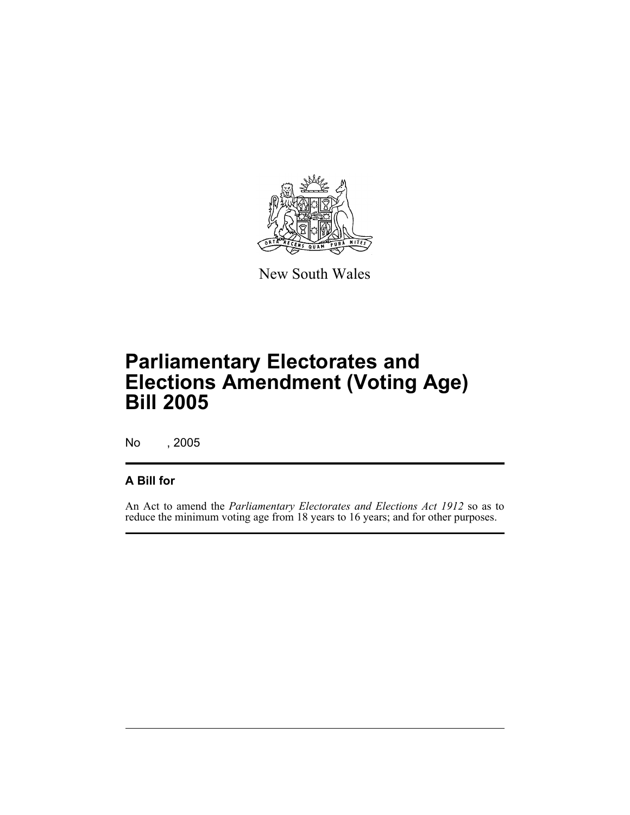

New South Wales

No , 2005

#### **A Bill for**

An Act to amend the *Parliamentary Electorates and Elections Act 1912* so as to reduce the minimum voting age from 18 years to 16 years; and for other purposes.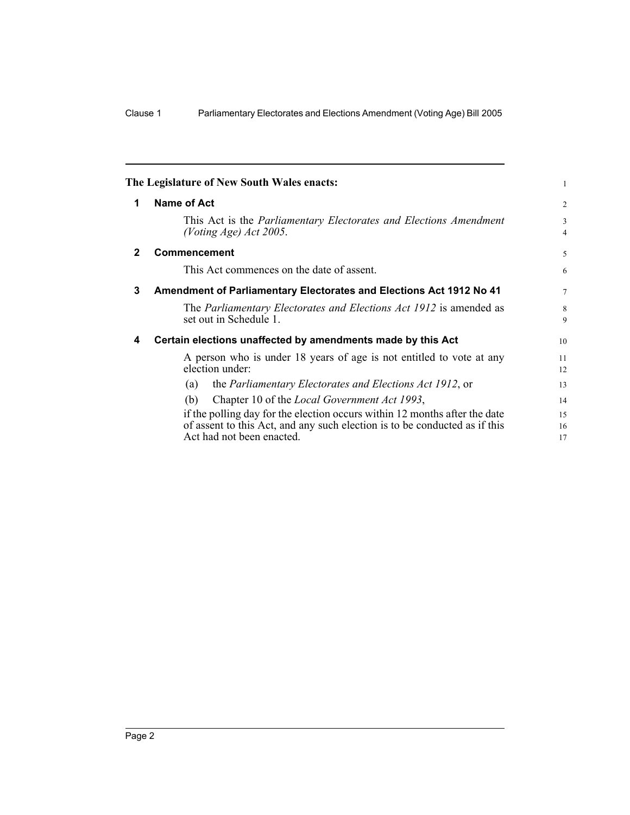<span id="page-7-2"></span><span id="page-7-1"></span><span id="page-7-0"></span>

|             | The Legislature of New South Wales enacts:                                                                                                                                            | 1                   |
|-------------|---------------------------------------------------------------------------------------------------------------------------------------------------------------------------------------|---------------------|
| 1           | Name of Act                                                                                                                                                                           | 2                   |
|             | This Act is the <i>Parliamentary Electorates and Elections Amendment</i><br>(Voting Age) Act 2005.                                                                                    | 3<br>$\overline{4}$ |
| $\mathbf 2$ | <b>Commencement</b>                                                                                                                                                                   | 5                   |
|             | This Act commences on the date of assent.                                                                                                                                             | 6                   |
| 3           | Amendment of Parliamentary Electorates and Elections Act 1912 No 41                                                                                                                   | 7                   |
|             | The <i>Parliamentary Electorates and Elections Act 1912</i> is amended as<br>set out in Schedule 1.                                                                                   | 8<br>9              |
| 4           | Certain elections unaffected by amendments made by this Act                                                                                                                           | 10                  |
|             | A person who is under 18 years of age is not entitled to vote at any<br>election under:                                                                                               | 11<br>12            |
|             | the Parliamentary Electorates and Elections Act 1912, or<br>(a)                                                                                                                       | 13                  |
|             | Chapter 10 of the <i>Local Government Act 1993</i> ,<br>(b)                                                                                                                           | 14                  |
|             | if the polling day for the election occurs within 12 months after the date<br>of assent to this Act, and any such election is to be conducted as if this<br>Act had not been enacted. | 15<br>16<br>17      |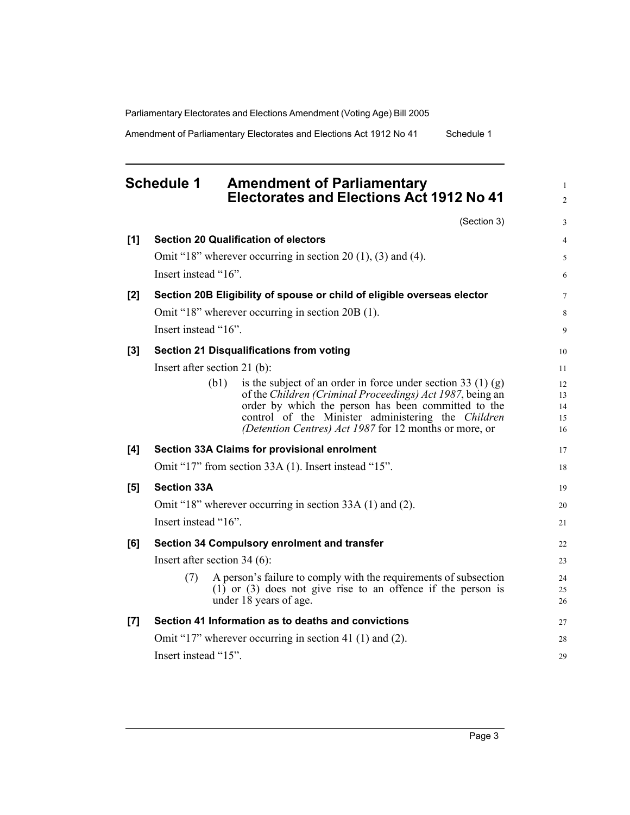Amendment of Parliamentary Electorates and Elections Act 1912 No 41 Schedule 1

#### <span id="page-8-0"></span>**Schedule 1 Amendment of Parliamentary Electorates and Elections Act 1912 No 41**

(Section 3)

1 2

3

| [1]   |                                                         | <b>Section 20 Qualification of electors</b>                                                                                                                    | 4              |  |
|-------|---------------------------------------------------------|----------------------------------------------------------------------------------------------------------------------------------------------------------------|----------------|--|
|       |                                                         | Omit "18" wherever occurring in section 20 $(1)$ , $(3)$ and $(4)$ .                                                                                           | 5              |  |
|       | Insert instead "16".                                    |                                                                                                                                                                | 6              |  |
| $[2]$ |                                                         | Section 20B Eligibility of spouse or child of eligible overseas elector                                                                                        | $\overline{7}$ |  |
|       |                                                         | Omit "18" wherever occurring in section 20B (1).                                                                                                               | 8              |  |
|       | Insert instead "16".                                    |                                                                                                                                                                | 9              |  |
| $[3]$ |                                                         | <b>Section 21 Disqualifications from voting</b>                                                                                                                | 10             |  |
|       | Insert after section 21 (b):                            |                                                                                                                                                                | 11             |  |
|       | (b1)                                                    | is the subject of an order in force under section 33 (1) (g)                                                                                                   | 12             |  |
|       |                                                         | of the Children (Criminal Proceedings) Act 1987, being an<br>order by which the person has been committed to the                                               | 13<br>14       |  |
|       |                                                         | control of the Minister administering the Children                                                                                                             | 15             |  |
|       |                                                         | (Detention Centres) Act 1987 for 12 months or more, or                                                                                                         | 16             |  |
| [4]   |                                                         | Section 33A Claims for provisional enrolment                                                                                                                   | 17             |  |
|       |                                                         | Omit "17" from section 33A (1). Insert instead "15".                                                                                                           | 18             |  |
| [5]   | <b>Section 33A</b>                                      |                                                                                                                                                                | 19             |  |
|       |                                                         | Omit "18" wherever occurring in section 33A (1) and (2).                                                                                                       | 20             |  |
|       | Insert instead "16".                                    |                                                                                                                                                                | 21             |  |
| [6]   |                                                         | Section 34 Compulsory enrolment and transfer                                                                                                                   | 22             |  |
|       | Insert after section $34(6)$ :                          |                                                                                                                                                                |                |  |
|       | (7)                                                     | A person's failure to comply with the requirements of subsection<br>$(1)$ or $(3)$ does not give rise to an offence if the person is<br>under 18 years of age. | 24<br>25<br>26 |  |
| [7]   |                                                         | Section 41 Information as to deaths and convictions                                                                                                            | 27             |  |
|       | Omit "17" wherever occurring in section 41 (1) and (2). |                                                                                                                                                                |                |  |
|       | Insert instead "15".                                    |                                                                                                                                                                | 29             |  |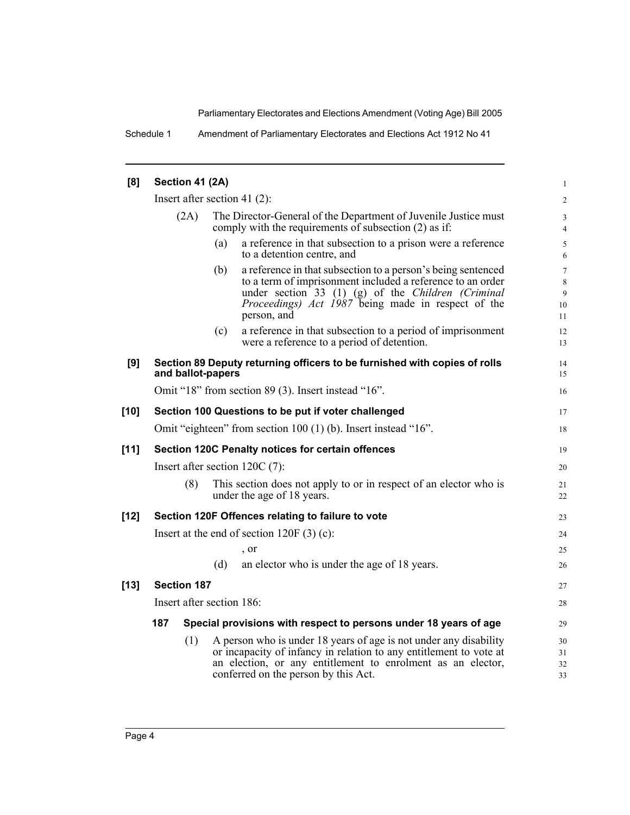Schedule 1 Amendment of Parliamentary Electorates and Elections Act 1912 No 41

| [8]    |                                                                | Section 41 (2A) |                                                                                                                          |                                                                                                                                                                                                                                                              | 1                       |
|--------|----------------------------------------------------------------|-----------------|--------------------------------------------------------------------------------------------------------------------------|--------------------------------------------------------------------------------------------------------------------------------------------------------------------------------------------------------------------------------------------------------------|-------------------------|
|        | Insert after section 41 $(2)$ :                                |                 |                                                                                                                          |                                                                                                                                                                                                                                                              | $\overline{c}$          |
|        | (2A)                                                           |                 | The Director-General of the Department of Juvenile Justice must<br>comply with the requirements of subsection (2) as if: |                                                                                                                                                                                                                                                              |                         |
|        |                                                                |                 | (a)                                                                                                                      | a reference in that subsection to a prison were a reference<br>to a detention centre, and                                                                                                                                                                    | 5<br>6                  |
|        |                                                                |                 | (b)                                                                                                                      | a reference in that subsection to a person's being sentenced<br>to a term of imprisonment included a reference to an order<br>under section 33 (1) (g) of the Children (Criminal<br><i>Proceedings) Act 1987</i> being made in respect of the<br>person, and | 7<br>8<br>9<br>10<br>11 |
|        |                                                                |                 | (c)                                                                                                                      | a reference in that subsection to a period of imprisonment<br>were a reference to a period of detention.                                                                                                                                                     | 12<br>13                |
| [9]    |                                                                |                 | and ballot-papers                                                                                                        | Section 89 Deputy returning officers to be furnished with copies of rolls                                                                                                                                                                                    | 14<br>15                |
|        | Omit "18" from section 89 (3). Insert instead "16".            |                 |                                                                                                                          |                                                                                                                                                                                                                                                              | 16                      |
| $[10]$ | Section 100 Questions to be put if voter challenged            |                 |                                                                                                                          | 17                                                                                                                                                                                                                                                           |                         |
|        | Omit "eighteen" from section 100 (1) (b). Insert instead "16". |                 |                                                                                                                          |                                                                                                                                                                                                                                                              | 18                      |
| $[11]$ | Section 120C Penalty notices for certain offences              |                 |                                                                                                                          |                                                                                                                                                                                                                                                              | 19                      |
|        | Insert after section 120C (7):                                 |                 |                                                                                                                          |                                                                                                                                                                                                                                                              | 20                      |
|        |                                                                | (8)             |                                                                                                                          | This section does not apply to or in respect of an elector who is<br>under the age of 18 years.                                                                                                                                                              | 21<br>22                |
| $[12]$ |                                                                |                 |                                                                                                                          | Section 120F Offences relating to failure to vote                                                                                                                                                                                                            | 23                      |
|        | Insert at the end of section $120F(3)(c)$ :                    |                 |                                                                                                                          |                                                                                                                                                                                                                                                              | 24                      |
|        |                                                                |                 |                                                                                                                          | $\sim$ or                                                                                                                                                                                                                                                    | 25                      |
|        |                                                                |                 | (d)                                                                                                                      | an elector who is under the age of 18 years.                                                                                                                                                                                                                 | 26                      |
| $[13]$ | <b>Section 187</b>                                             |                 |                                                                                                                          |                                                                                                                                                                                                                                                              | 27                      |
|        | Insert after section 186:                                      |                 |                                                                                                                          |                                                                                                                                                                                                                                                              | 28                      |
|        | 187                                                            |                 |                                                                                                                          | Special provisions with respect to persons under 18 years of age                                                                                                                                                                                             | 29                      |
|        |                                                                | (1)             |                                                                                                                          | A person who is under 18 years of age is not under any disability<br>or incapacity of infancy in relation to any entitlement to vote at<br>an election, or any entitlement to enrolment as an elector,<br>conferred on the person by this Act.               | 30<br>31<br>32<br>33    |